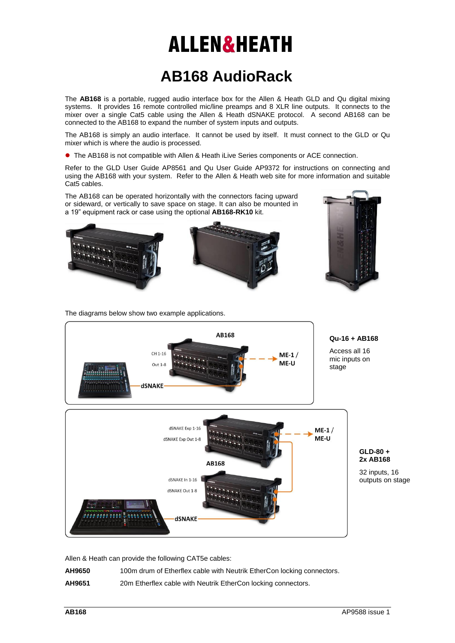## **ALLEN&HEATH**

## **AB168 AudioRack**

The **AB168** is a portable, rugged audio interface box for the Allen & Heath GLD and Qu digital mixing systems. It provides 16 remote controlled mic/line preamps and 8 XLR line outputs. It connects to the mixer over a single Cat5 cable using the Allen & Heath dSNAKE protocol. A second AB168 can be connected to the AB168 to expand the number of system inputs and outputs.

The AB168 is simply an audio interface. It cannot be used by itself. It must connect to the GLD or Qu mixer which is where the audio is processed.

The AB168 is not compatible with Allen & Heath iLive Series components or ACE connection.

Refer to the GLD User Guide AP8561 and Qu User Guide AP9372 for instructions on connecting and using the AB168 with your system. Refer to the Allen & Heath web site for more information and suitable Cat5 cables.

The AB168 can be operated horizontally with the connectors facing upward or sideward, or vertically to save space on stage. It can also be mounted in a 19" equipment rack or case using the optional **AB168-RK10** kit.



The diagrams below show two example applications.



Allen & Heath can provide the following CAT5e cables:

| AH9650 | 100m drum of Etherflex cable with Neutrik EtherCon locking connectors. |
|--------|------------------------------------------------------------------------|
|        |                                                                        |

**AH9651** 20m Etherflex cable with Neutrik EtherCon locking connectors.